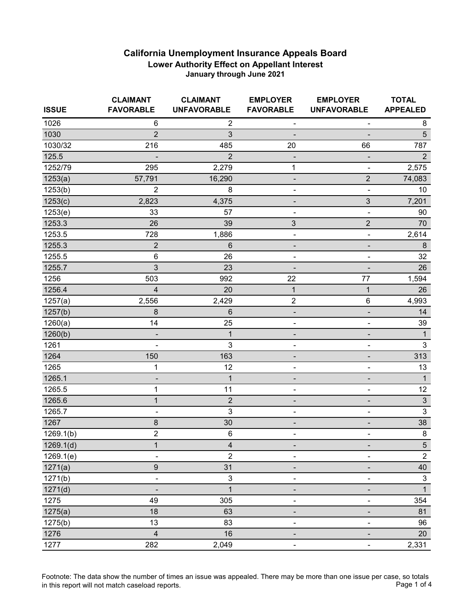| <b>ISSUE</b> | <b>CLAIMANT</b><br><b>FAVORABLE</b> | <b>CLAIMANT</b><br><b>UNFAVORABLE</b> | <b>EMPLOYER</b><br><b>FAVORABLE</b> | <b>EMPLOYER</b><br><b>UNFAVORABLE</b> | <b>TOTAL</b><br><b>APPEALED</b> |
|--------------|-------------------------------------|---------------------------------------|-------------------------------------|---------------------------------------|---------------------------------|
| 1026         | 6                                   | $\overline{c}$                        | ۰                                   | ۰                                     | 8                               |
| 1030         | $\overline{2}$                      | 3                                     |                                     |                                       | 5                               |
| 1030/32      | 216                                 | 485                                   | 20                                  | 66                                    | 787                             |
| 125.5        |                                     | $\overline{2}$                        |                                     |                                       | $\overline{2}$                  |
| 1252/79      | 295                                 | 2,279                                 | 1                                   | $\blacksquare$                        | 2,575                           |
| 1253(a)      | 57,791                              | 16,290                                | -                                   | $\overline{c}$                        | 74,083                          |
| 1253(b)      | $\overline{2}$                      | 8                                     | $\overline{\phantom{0}}$            | $\qquad \qquad \blacksquare$          | 10                              |
| 1253(c)      | 2,823                               | 4,375                                 |                                     | 3                                     | 7,201                           |
| 1253(e)      | 33                                  | 57                                    | $\overline{a}$                      | ۰                                     | 90                              |
| 1253.3       | 26                                  | 39                                    | 3                                   | $\overline{2}$                        | 70                              |
| 1253.5       | 728                                 | 1,886                                 | -                                   | $\overline{\phantom{a}}$              | 2,614                           |
| 1255.3       | $\sqrt{2}$                          | 6                                     | -                                   | ۰                                     | $\bf 8$                         |
| 1255.5       | $\,6$                               | 26                                    | ÷                                   | $\qquad \qquad \blacksquare$          | 32                              |
| 1255.7       | 3                                   | 23                                    |                                     |                                       | 26                              |
| 1256         | 503                                 | 992                                   | 22                                  | 77                                    | 1,594                           |
| 1256.4       | $\overline{4}$                      | 20                                    | $\mathbf 1$                         | 1                                     | 26                              |
| 1257(a)      | 2,556                               | 2,429                                 | $\boldsymbol{2}$                    | $\,6$                                 | 4,993                           |
| 1257(b)      | $\bf 8$                             | 6                                     | -                                   | -                                     | 14                              |
| 1260(a)      | 14                                  | 25                                    | -                                   | $\qquad \qquad \blacksquare$          | 39                              |
| 1260(b)      |                                     | $\mathbf{1}$                          | -                                   | ۰                                     | $\mathbf{1}$                    |
| 1261         |                                     | 3                                     | -                                   | ۰                                     | $\mathfrak{Z}$                  |
| 1264         | 150                                 | 163                                   | -                                   | -                                     | 313                             |
| 1265         | 1                                   | 12                                    | $\overline{\phantom{0}}$            | -                                     | 13                              |
| 1265.1       |                                     | $\overline{1}$                        |                                     |                                       | $\mathbf{1}$                    |
| 1265.5       | 1                                   | 11                                    | -                                   | -                                     | 12                              |
| 1265.6       | $\mathbf{1}$                        | $\overline{2}$                        |                                     |                                       | $\ensuremath{\mathsf{3}}$       |
| 1265.7       | $\blacksquare$                      | 3                                     | $\overline{\phantom{0}}$            | $\qquad \qquad \blacksquare$          | $\mathbf{3}$                    |
| 1267         | $\bf 8$                             | 30                                    | ٠                                   | ٠                                     | 38                              |
| 1269.1(b)    | $\overline{2}$                      | $\,6$                                 | -                                   | ۰                                     | $\bf 8$                         |
| 1269.1(d)    | $\overline{1}$                      | $\overline{\mathbf{4}}$               |                                     |                                       | $\overline{5}$                  |
| 1269.1(e)    | $\overline{\phantom{a}}$            | $\overline{2}$                        | ٠                                   | $\blacksquare$                        | $\overline{2}$                  |
| 1271(a)      | $\boldsymbol{9}$                    | 31                                    |                                     |                                       | 40                              |
| 1271(b)      | ۰                                   | $\mathsf 3$                           |                                     |                                       | $\mathbf{3}$                    |
| 1271(d)      |                                     | 1                                     |                                     |                                       | $\mathbf{1}$                    |
| 1275         | 49                                  | 305                                   |                                     |                                       | 354                             |
| 1275(a)      | 18                                  | 63                                    | -                                   |                                       | 81                              |
| 1275(b)      | 13                                  | 83                                    |                                     |                                       | 96                              |
| 1276         | $\overline{\mathbf{4}}$             | 16                                    |                                     |                                       | 20                              |
| 1277         | 282                                 | 2,049                                 |                                     |                                       | 2,331                           |

Footnote: The data show the number of times an issue was appealed. There may be more than one issue per case, so totals<br>Page 1 of 4 in this report will not match caseload reports.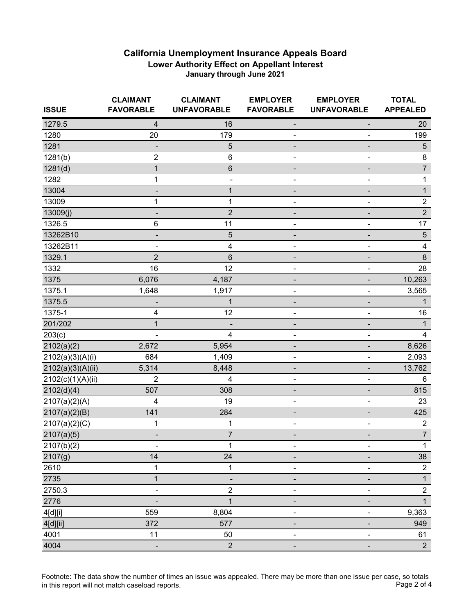| <b>ISSUE</b>      | <b>CLAIMANT</b><br><b>FAVORABLE</b> | <b>CLAIMANT</b><br><b>UNFAVORABLE</b> | <b>EMPLOYER</b><br><b>FAVORABLE</b> | <b>EMPLOYER</b><br><b>UNFAVORABLE</b> | <b>TOTAL</b><br><b>APPEALED</b> |
|-------------------|-------------------------------------|---------------------------------------|-------------------------------------|---------------------------------------|---------------------------------|
| 1279.5            | $\overline{4}$                      | 16                                    |                                     |                                       | 20                              |
| 1280              | 20                                  | 179                                   | ۰                                   |                                       | 199                             |
| 1281              |                                     | $\sqrt{5}$                            |                                     |                                       | $\overline{5}$                  |
| 1281(b)           | $\overline{c}$                      | $\,6$                                 |                                     |                                       | $\bf 8$                         |
| 1281(d)           | $\mathbf{1}$                        | $\,6$                                 |                                     |                                       | $\overline{\mathcal{I}}$        |
| 1282              | 1                                   |                                       |                                     |                                       | $\mathbf{1}$                    |
| 13004             | ۰                                   | $\mathbf 1$                           |                                     |                                       | $\mathbf{1}$                    |
| 13009             | 1                                   | 1                                     |                                     |                                       | $\sqrt{2}$                      |
| 13009(j)          |                                     | $\mathbf 2$                           |                                     |                                       | $\overline{2}$                  |
| 1326.5            | 6                                   | 11                                    |                                     |                                       | 17                              |
| 13262B10          | -                                   | $\sqrt{5}$                            |                                     |                                       | $\sqrt{5}$                      |
| 13262B11          |                                     | $\overline{\mathbf{4}}$               |                                     |                                       | $\overline{\mathbf{4}}$         |
| 1329.1            | $\overline{2}$                      | $\,6$                                 |                                     |                                       | $\bf 8$                         |
| 1332              | 16                                  | 12                                    |                                     |                                       | 28                              |
| 1375              | 6,076                               | 4,187                                 |                                     |                                       | 10,263                          |
| 1375.1            | 1,648                               | 1,917                                 | $\overline{a}$                      |                                       | 3,565                           |
| 1375.5            |                                     | $\mathbf 1$                           |                                     |                                       | 1                               |
| 1375-1            | 4                                   | 12                                    |                                     |                                       | 16                              |
| 201/202           | $\mathbf{1}$                        |                                       |                                     |                                       | 1                               |
| 203(c)            |                                     | 4                                     | -                                   | $\qquad \qquad \blacksquare$          | 4                               |
| 2102(a)(2)        | 2,672                               | 5,954                                 |                                     |                                       | 8,626                           |
| 2102(a)(3)(A)(i)  | 684                                 | 1,409                                 | ۰                                   |                                       | 2,093                           |
| 2102(a)(3)(A)(ii) | 5,314                               | 8,448                                 |                                     |                                       | 13,762                          |
| 2102(c)(1)(A)(ii) | $\overline{2}$                      | 4                                     |                                     |                                       | 6                               |
| 2102(d)(4)        | 507                                 | 308                                   |                                     |                                       | 815                             |
| 2107(a)(2)(A)     | 4                                   | 19                                    |                                     | $\blacksquare$                        | 23                              |
| 2107(a)(2)(B)     | 141                                 | 284                                   |                                     |                                       | 425                             |
| 2107(a)(2)(C)     | 1                                   | 1                                     |                                     | -                                     | $\overline{2}$                  |
| 2107(a)(5)        | ۰                                   | $\overline{7}$                        |                                     |                                       | $\overline{7}$                  |
| 2107(b)(2)        |                                     | $\mathbf{1}$                          |                                     |                                       | $\mathbf{1}$                    |
| 2107(g)           | 14                                  | 24                                    |                                     |                                       | 38                              |
| 2610              | 1                                   | 1                                     |                                     |                                       | $\overline{c}$                  |
| 2735              | $\mathbf{1}$                        |                                       |                                     |                                       | $\mathbf{1}$                    |
| 2750.3            |                                     | 2                                     |                                     |                                       | $\overline{c}$                  |
| 2776              |                                     | $\mathbf 1$                           |                                     |                                       | $\mathbf{1}$                    |
| 4[d][i]           | 559                                 | 8,804                                 |                                     |                                       | 9,363                           |
| 4[d][ii]          | 372                                 | 577                                   |                                     |                                       | 949                             |
| 4001              | 11                                  | 50                                    |                                     |                                       | 61                              |
| 4004              | -                                   | $\boldsymbol{2}$                      |                                     |                                       | $2^{\circ}$                     |

Footnote: The data show the number of times an issue was appealed. There may be more than one issue per case, so totals<br>Page 2 of 4 in this report will not match caseload reports.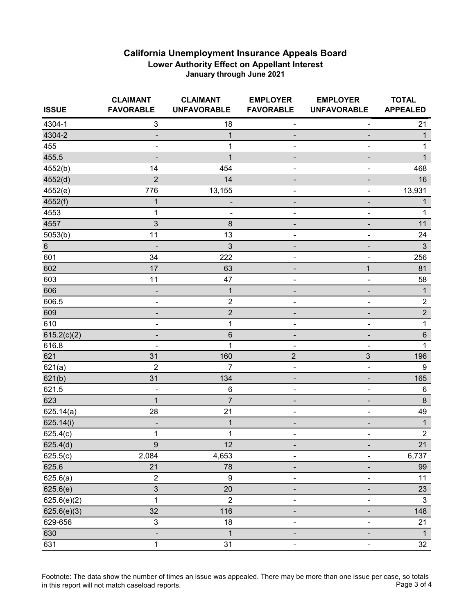| <b>ISSUE</b> | <b>CLAIMANT</b><br><b>FAVORABLE</b> | <b>CLAIMANT</b><br><b>UNFAVORABLE</b> | <b>EMPLOYER</b><br><b>FAVORABLE</b> | <b>EMPLOYER</b><br><b>UNFAVORABLE</b> | <b>TOTAL</b><br><b>APPEALED</b> |
|--------------|-------------------------------------|---------------------------------------|-------------------------------------|---------------------------------------|---------------------------------|
| 4304-1       | $\mathfrak{S}$                      | 18                                    | ۰                                   | $\overline{\phantom{a}}$              | 21                              |
| 4304-2       | $\overline{\phantom{a}}$            | 1                                     | -                                   | $\overline{\phantom{0}}$              | $\mathbf{1}$                    |
| 455          | $\qquad \qquad \blacksquare$        | $\mathbf 1$                           | ٠                                   |                                       | 1                               |
| 455.5        | ٠                                   | $\mathbf{1}$                          | -                                   |                                       | $\mathbf{1}$                    |
| 4552(b)      | 14                                  | 454                                   | ÷                                   | ÷                                     | 468                             |
| 4552(d)      | $\overline{2}$                      | 14                                    | -                                   | -                                     | 16                              |
| 4552(e)      | 776                                 | 13,155                                | -                                   | ۰                                     | 13,931                          |
| 4552(f)      | 1                                   |                                       |                                     |                                       | 1                               |
| 4553         | 1                                   | $\blacksquare$                        | ÷                                   | ۰                                     | 1                               |
| 4557         | 3                                   | 8                                     |                                     | $\blacksquare$                        | 11                              |
| 5053(b)      | 11                                  | 13                                    | -                                   | ۰                                     | 24                              |
| $\,6$        | -                                   | 3                                     | ٠                                   | ٠                                     | $\mathfrak{Z}$                  |
| 601          | 34                                  | 222                                   | -                                   | $\overline{a}$                        | 256                             |
| 602          | 17                                  | 63                                    | ۰                                   | $\mathbf{1}$                          | 81                              |
| 603          | 11                                  | 47                                    | ٠                                   | ۰                                     | 58                              |
| 606          | $\overline{\phantom{a}}$            | $\mathbf 1$                           | -                                   | -                                     | $\mathbf{1}$                    |
| 606.5        | ۰                                   | $\boldsymbol{2}$                      | -                                   | ۰                                     | $\sqrt{2}$                      |
| 609          |                                     | $\mathbf 2$                           | ٠                                   |                                       | $\overline{2}$                  |
| 610          | $\blacksquare$                      | $\mathbf 1$                           | ٠                                   |                                       | $\mathbf{1}$                    |
| 615.2(c)(2)  |                                     | $\,6$                                 | ٠                                   | $\overline{\phantom{0}}$              | $\,6\,$                         |
| 616.8        | $\overline{\phantom{a}}$            | $\mathbf{1}$                          |                                     |                                       | $\mathbf{1}$                    |
| 621          | 31                                  | 160                                   | $\overline{c}$                      | $\mathfrak{S}$                        | 196                             |
| 621(a)       | $\overline{2}$                      | 7                                     | $\qquad \qquad \blacksquare$        | $\qquad \qquad \blacksquare$          | $\boldsymbol{9}$                |
| 621(b)       | 31                                  | 134                                   | -                                   |                                       | 165                             |
| 621.5        |                                     | 6                                     | $\overline{a}$                      | $\overline{\phantom{0}}$              | $6\phantom{1}6$                 |
| 623          | $\mathbf 1$                         | $\overline{7}$                        | -                                   | ٠                                     | $\bf 8$                         |
| 625.14(a)    | 28                                  | 21                                    | $\qquad \qquad \blacksquare$        | $\qquad \qquad \blacksquare$          | 49                              |
| 625.14(i)    | -                                   | $\mathbf 1$                           | -                                   | ۰                                     | $\mathbf{1}$                    |
| 625.4(c)     | $\mathbf 1$                         | $\mathbf 1$                           | $\overline{a}$                      | ۰                                     | $\sqrt{2}$                      |
| 625.4(d)     | $\overline{9}$                      | 12                                    |                                     |                                       | $\overline{21}$                 |
| 625.5(c)     | 2,084                               | 4,653                                 | $\overline{\phantom{0}}$            | $\blacksquare$                        | 6,737                           |
| 625.6        | 21                                  | 78                                    |                                     |                                       | 99                              |
| 625.6(a)     | $\overline{2}$                      | $\boldsymbol{9}$                      |                                     |                                       | 11                              |
| 625.6(e)     | $\mathfrak{S}$                      | 20                                    |                                     |                                       | 23                              |
| 625.6(e)(2)  | 1                                   | $\overline{2}$                        |                                     |                                       | $\mathbf{3}$                    |
| 625.6(e)(3)  | 32                                  | 116                                   |                                     |                                       | 148                             |
| 629-656      | 3                                   | 18                                    |                                     |                                       | 21                              |
| 630          |                                     | $\overline{1}$                        |                                     |                                       | $\mathbf{1}$                    |
| 631          | $\mathbf 1$                         | 31                                    | $\overline{\phantom{0}}$            | ۰.                                    | 32                              |

Footnote: The data show the number of times an issue was appealed. There may be more than one issue per case, so totals<br>Page 3 of 4 in this report will not match caseload reports.